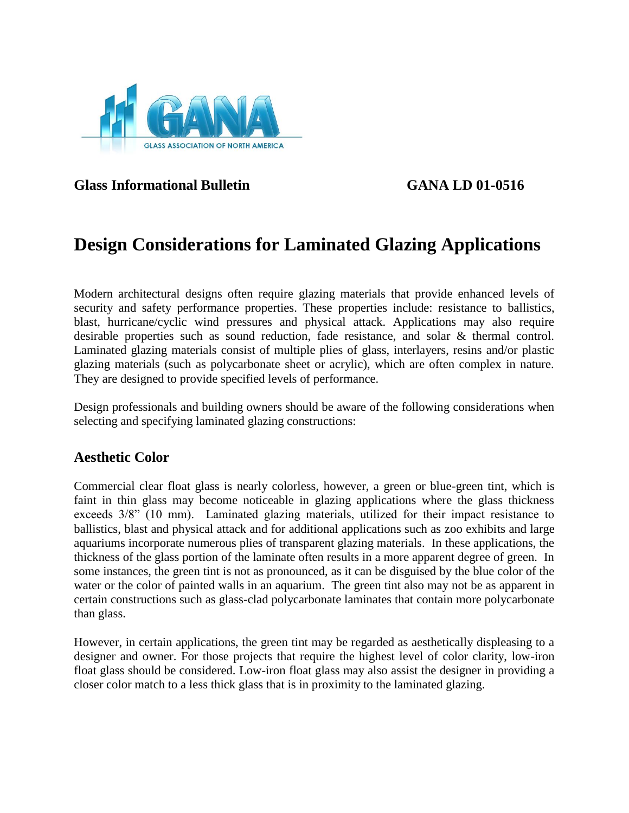

**Glass Informational Bulletin GANA LD 01-0516**

# **Design Considerations for Laminated Glazing Applications**

Modern architectural designs often require glazing materials that provide enhanced levels of security and safety performance properties. These properties include: resistance to ballistics, blast, hurricane/cyclic wind pressures and physical attack. Applications may also require desirable properties such as sound reduction, fade resistance, and solar & thermal control. Laminated glazing materials consist of multiple plies of glass, interlayers, resins and/or plastic glazing materials (such as polycarbonate sheet or acrylic), which are often complex in nature. They are designed to provide specified levels of performance.

Design professionals and building owners should be aware of the following considerations when selecting and specifying laminated glazing constructions:

## **Aesthetic Color**

Commercial clear float glass is nearly colorless, however, a green or blue-green tint, which is faint in thin glass may become noticeable in glazing applications where the glass thickness exceeds 3/8" (10 mm). Laminated glazing materials, utilized for their impact resistance to ballistics, blast and physical attack and for additional applications such as zoo exhibits and large aquariums incorporate numerous plies of transparent glazing materials. In these applications, the thickness of the glass portion of the laminate often results in a more apparent degree of green. In some instances, the green tint is not as pronounced, as it can be disguised by the blue color of the water or the color of painted walls in an aquarium. The green tint also may not be as apparent in certain constructions such as glass-clad polycarbonate laminates that contain more polycarbonate than glass.

However, in certain applications, the green tint may be regarded as aesthetically displeasing to a designer and owner. For those projects that require the highest level of color clarity, low-iron float glass should be considered. Low-iron float glass may also assist the designer in providing a closer color match to a less thick glass that is in proximity to the laminated glazing.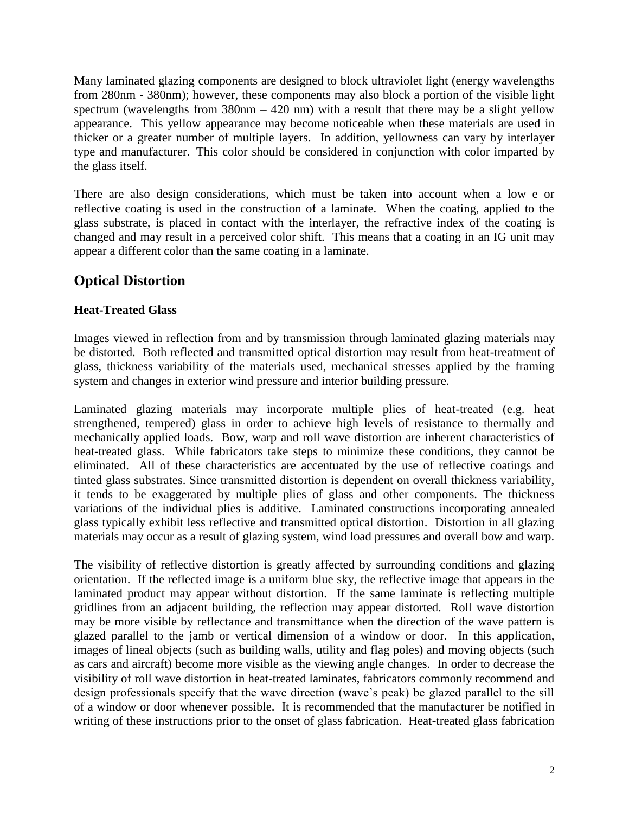Many laminated glazing components are designed to block ultraviolet light (energy wavelengths from 280nm - 380nm); however, these components may also block a portion of the visible light spectrum (wavelengths from  $380$ nm –  $420$  nm) with a result that there may be a slight yellow appearance. This yellow appearance may become noticeable when these materials are used in thicker or a greater number of multiple layers. In addition, yellowness can vary by interlayer type and manufacturer. This color should be considered in conjunction with color imparted by the glass itself.

There are also design considerations, which must be taken into account when a low e or reflective coating is used in the construction of a laminate. When the coating, applied to the glass substrate, is placed in contact with the interlayer, the refractive index of the coating is changed and may result in a perceived color shift. This means that a coating in an IG unit may appear a different color than the same coating in a laminate.

# **Optical Distortion**

#### **Heat-Treated Glass**

Images viewed in reflection from and by transmission through laminated glazing materials may be distorted. Both reflected and transmitted optical distortion may result from heat-treatment of glass, thickness variability of the materials used, mechanical stresses applied by the framing system and changes in exterior wind pressure and interior building pressure.

Laminated glazing materials may incorporate multiple plies of heat-treated (e.g. heat strengthened, tempered) glass in order to achieve high levels of resistance to thermally and mechanically applied loads. Bow, warp and roll wave distortion are inherent characteristics of heat-treated glass. While fabricators take steps to minimize these conditions, they cannot be eliminated. All of these characteristics are accentuated by the use of reflective coatings and tinted glass substrates. Since transmitted distortion is dependent on overall thickness variability, it tends to be exaggerated by multiple plies of glass and other components. The thickness variations of the individual plies is additive. Laminated constructions incorporating annealed glass typically exhibit less reflective and transmitted optical distortion. Distortion in all glazing materials may occur as a result of glazing system, wind load pressures and overall bow and warp.

The visibility of reflective distortion is greatly affected by surrounding conditions and glazing orientation. If the reflected image is a uniform blue sky, the reflective image that appears in the laminated product may appear without distortion. If the same laminate is reflecting multiple gridlines from an adjacent building, the reflection may appear distorted. Roll wave distortion may be more visible by reflectance and transmittance when the direction of the wave pattern is glazed parallel to the jamb or vertical dimension of a window or door. In this application, images of lineal objects (such as building walls, utility and flag poles) and moving objects (such as cars and aircraft) become more visible as the viewing angle changes. In order to decrease the visibility of roll wave distortion in heat-treated laminates, fabricators commonly recommend and design professionals specify that the wave direction (wave's peak) be glazed parallel to the sill of a window or door whenever possible. It is recommended that the manufacturer be notified in writing of these instructions prior to the onset of glass fabrication. Heat-treated glass fabrication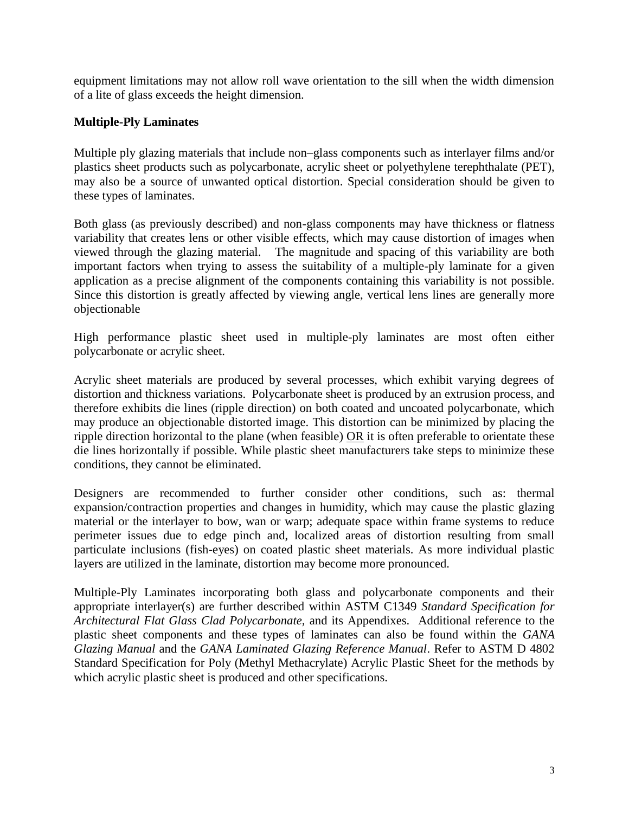equipment limitations may not allow roll wave orientation to the sill when the width dimension of a lite of glass exceeds the height dimension.

#### **Multiple-Ply Laminates**

Multiple ply glazing materials that include non–glass components such as interlayer films and/or plastics sheet products such as polycarbonate, acrylic sheet or polyethylene terephthalate (PET), may also be a source of unwanted optical distortion. Special consideration should be given to these types of laminates.

Both glass (as previously described) and non-glass components may have thickness or flatness variability that creates lens or other visible effects, which may cause distortion of images when viewed through the glazing material. The magnitude and spacing of this variability are both important factors when trying to assess the suitability of a multiple-ply laminate for a given application as a precise alignment of the components containing this variability is not possible. Since this distortion is greatly affected by viewing angle, vertical lens lines are generally more objectionable

High performance plastic sheet used in multiple-ply laminates are most often either polycarbonate or acrylic sheet.

Acrylic sheet materials are produced by several processes, which exhibit varying degrees of distortion and thickness variations. Polycarbonate sheet is produced by an extrusion process, and therefore exhibits die lines (ripple direction) on both coated and uncoated polycarbonate, which may produce an objectionable distorted image. This distortion can be minimized by placing the ripple direction horizontal to the plane (when feasible) OR it is often preferable to orientate these die lines horizontally if possible. While plastic sheet manufacturers take steps to minimize these conditions, they cannot be eliminated.

Designers are recommended to further consider other conditions, such as: thermal expansion/contraction properties and changes in humidity, which may cause the plastic glazing material or the interlayer to bow, wan or warp; adequate space within frame systems to reduce perimeter issues due to edge pinch and, localized areas of distortion resulting from small particulate inclusions (fish-eyes) on coated plastic sheet materials. As more individual plastic layers are utilized in the laminate, distortion may become more pronounced.

Multiple-Ply Laminates incorporating both glass and polycarbonate components and their appropriate interlayer(s) are further described within ASTM C1349 *Standard Specification for Architectural Flat Glass Clad Polycarbonate,* and its Appendixes. Additional reference to the plastic sheet components and these types of laminates can also be found within the *GANA Glazing Manual* and the *GANA Laminated Glazing Reference Manual*. Refer to ASTM D 4802 Standard Specification for Poly (Methyl Methacrylate) Acrylic Plastic Sheet for the methods by which acrylic plastic sheet is produced and other specifications.